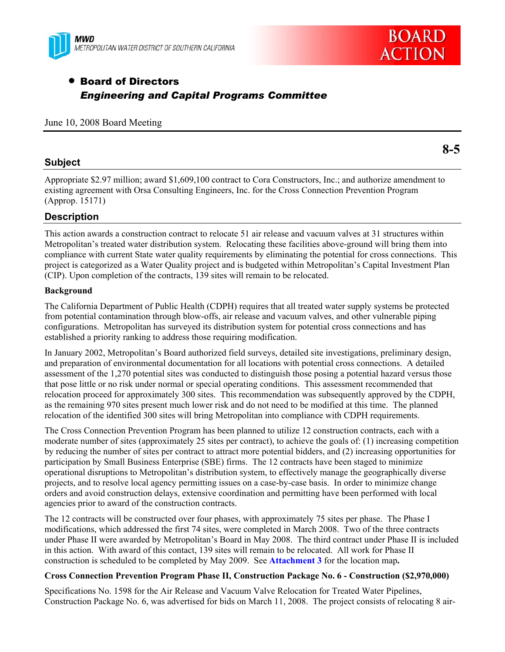



## • Board of Directors *Engineering and Capital Programs Committee*

#### June 10, 2008 Board Meeting

#### **Subject**

Appropriate \$2.97 million; award \$1,609,100 contract to Cora Constructors, Inc.; and authorize amendment to existing agreement with Orsa Consulting Engineers, Inc. for the Cross Connection Prevention Program (Approp. 15171)

#### **Description**

This action awards a construction contract to relocate 51 air release and vacuum valves at 31 structures within Metropolitan's treated water distribution system. Relocating these facilities above-ground will bring them into compliance with current State water quality requirements by eliminating the potential for cross connections. This project is categorized as a Water Quality project and is budgeted within Metropolitan's Capital Investment Plan (CIP). Upon completion of the contracts, 139 sites will remain to be relocated.

#### **Background**

The California Department of Public Health (CDPH) requires that all treated water supply systems be protected from potential contamination through blow-offs, air release and vacuum valves, and other vulnerable piping configurations. Metropolitan has surveyed its distribution system for potential cross connections and has established a priority ranking to address those requiring modification.

In January 2002, Metropolitan's Board authorized field surveys, detailed site investigations, preliminary design, and preparation of environmental documentation for all locations with potential cross connections. A detailed assessment of the 1,270 potential sites was conducted to distinguish those posing a potential hazard versus those that pose little or no risk under normal or special operating conditions. This assessment recommended that relocation proceed for approximately 300 sites. This recommendation was subsequently approved by the CDPH, as the remaining 970 sites present much lower risk and do not need to be modified at this time. The planned relocation of the identified 300 sites will bring Metropolitan into compliance with CDPH requirements.

The Cross Connection Prevention Program has been planned to utilize 12 construction contracts, each with a moderate number of sites (approximately 25 sites per contract), to achieve the goals of: (1) increasing competition by reducing the number of sites per contract to attract more potential bidders, and (2) increasing opportunities for participation by Small Business Enterprise (SBE) firms. The 12 contracts have been staged to minimize operational disruptions to Metropolitan's distribution system, to effectively manage the geographically diverse projects, and to resolve local agency permitting issues on a case-by-case basis. In order to minimize change orders and avoid construction delays, extensive coordination and permitting have been performed with local agencies prior to award of the construction contracts.

The 12 contracts will be constructed over four phases, with approximately 75 sites per phase. The Phase I modifications, which addressed the first 74 sites, were completed in March 2008. Two of the three contracts under Phase II were awarded by Metropolitan's Board in May 2008. The third contract under Phase II is included in this action. With award of this contact, 139 sites will remain to be relocated. All work for Phase II construction is scheduled to be completed by May 2009. See **Attachment 3** for the location map**.**

#### **Cross Connection Prevention Program Phase II, Construction Package No. 6 - Construction (\$2,970,000)**

Specifications No. 1598 for the Air Release and Vacuum Valve Relocation for Treated Water Pipelines, Construction Package No. 6, was advertised for bids on March 11, 2008. The project consists of relocating 8 air-

**8-5**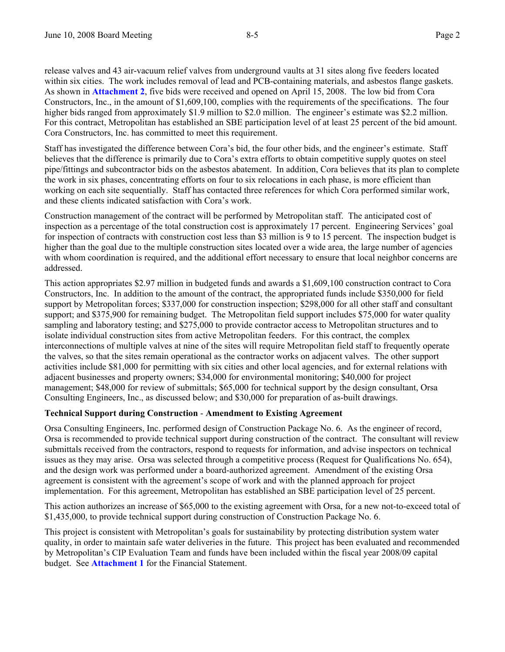release valves and 43 air-vacuum relief valves from underground vaults at 31 sites along five feeders located within six cities. The work includes removal of lead and PCB-containing materials, and asbestos flange gaskets. As shown in **Attachment 2**, five bids were received and opened on April 15, 2008. The low bid from Cora Constructors, Inc., in the amount of \$1,609,100, complies with the requirements of the specifications. The four higher bids ranged from approximately \$1.9 million to \$2.0 million. The engineer's estimate was \$2.2 million. For this contract, Metropolitan has established an SBE participation level of at least 25 percent of the bid amount. Cora Constructors, Inc. has committed to meet this requirement.

Staff has investigated the difference between Cora's bid, the four other bids, and the engineer's estimate. Staff believes that the difference is primarily due to Cora's extra efforts to obtain competitive supply quotes on steel pipe/fittings and subcontractor bids on the asbestos abatement. In addition, Cora believes that its plan to complete the work in six phases, concentrating efforts on four to six relocations in each phase, is more efficient than working on each site sequentially. Staff has contacted three references for which Cora performed similar work, and these clients indicated satisfaction with Cora's work.

Construction management of the contract will be performed by Metropolitan staff. The anticipated cost of inspection as a percentage of the total construction cost is approximately 17 percent. Engineering Services' goal for inspection of contracts with construction cost less than \$3 million is 9 to 15 percent. The inspection budget is higher than the goal due to the multiple construction sites located over a wide area, the large number of agencies with whom coordination is required, and the additional effort necessary to ensure that local neighbor concerns are addressed.

This action appropriates \$2.97 million in budgeted funds and awards a \$1,609,100 construction contract to Cora Constructors, Inc. In addition to the amount of the contract, the appropriated funds include \$350,000 for field support by Metropolitan forces; \$337,000 for construction inspection; \$298,000 for all other staff and consultant support; and \$375,900 for remaining budget. The Metropolitan field support includes \$75,000 for water quality sampling and laboratory testing; and \$275,000 to provide contractor access to Metropolitan structures and to isolate individual construction sites from active Metropolitan feeders. For this contract, the complex interconnections of multiple valves at nine of the sites will require Metropolitan field staff to frequently operate the valves, so that the sites remain operational as the contractor works on adjacent valves. The other support activities include \$81,000 for permitting with six cities and other local agencies, and for external relations with adjacent businesses and property owners; \$34,000 for environmental monitoring; \$40,000 for project management; \$48,000 for review of submittals; \$65,000 for technical support by the design consultant, Orsa Consulting Engineers, Inc., as discussed below; and \$30,000 for preparation of as-built drawings.

#### **Technical Support during Construction** - **Amendment to Existing Agreement**

Orsa Consulting Engineers, Inc. performed design of Construction Package No. 6. As the engineer of record, Orsa is recommended to provide technical support during construction of the contract. The consultant will review submittals received from the contractors, respond to requests for information, and advise inspectors on technical issues as they may arise. Orsa was selected through a competitive process (Request for Qualifications No. 654), and the design work was performed under a board-authorized agreement. Amendment of the existing Orsa agreement is consistent with the agreement's scope of work and with the planned approach for project implementation. For this agreement, Metropolitan has established an SBE participation level of 25 percent.

This action authorizes an increase of \$65,000 to the existing agreement with Orsa, for a new not-to-exceed total of \$1,435,000, to provide technical support during construction of Construction Package No. 6.

This project is consistent with Metropolitan's goals for sustainability by protecting distribution system water quality, in order to maintain safe water deliveries in the future. This project has been evaluated and recommended by Metropolitan's CIP Evaluation Team and funds have been included within the fiscal year 2008/09 capital budget. See **Attachment 1** for the Financial Statement.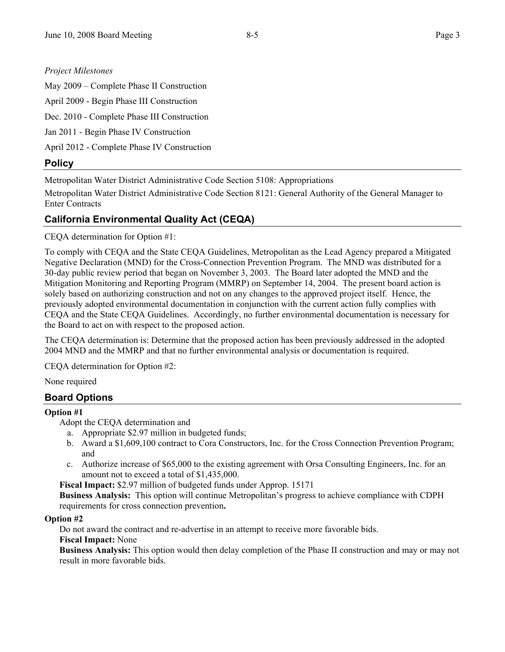### *Project Milestones*

May 2009 – Complete Phase II Construction

April 2009 - Begin Phase III Construction

Dec. 2010 - Complete Phase III Construction

Jan 2011 - Begin Phase IV Construction

April 2012 - Complete Phase IV Construction

## **Policy**

Metropolitan Water District Administrative Code Section 5108: Appropriations

Metropolitan Water District Administrative Code Section 8121: General Authority of the General Manager to Enter Contracts

## **California Environmental Quality Act (CEQA)**

CEQA determination for Option #1:

To comply with CEQA and the State CEQA Guidelines, Metropolitan as the Lead Agency prepared a Mitigated Negative Declaration (MND) for the Cross-Connection Prevention Program. The MND was distributed for a 30-day public review period that began on November 3, 2003. The Board later adopted the MND and the Mitigation Monitoring and Reporting Program (MMRP) on September 14, 2004. The present board action is solely based on authorizing construction and not on any changes to the approved project itself. Hence, the previously adopted environmental documentation in conjunction with the current action fully complies with CEQA and the State CEQA Guidelines. Accordingly, no further environmental documentation is necessary for the Board to act on with respect to the proposed action.

The CEQA determination is: Determine that the proposed action has been previously addressed in the adopted 2004 MND and the MMRP and that no further environmental analysis or documentation is required.

CEQA determination for Option #2:

None required

## **Board Options**

#### **Option #1**

Adopt the CEQA determination and

- a. Appropriate \$2.97 million in budgeted funds;
- b. Award a \$1,609,100 contract to Cora Constructors, Inc. for the Cross Connection Prevention Program; and
- c. Authorize increase of \$65,000 to the existing agreement with Orsa Consulting Engineers, Inc. for an amount not to exceed a total of \$1,435,000.

**Fiscal Impact:** \$2.97 million of budgeted funds under Approp. 15171

**Business Analysis:** This option will continue Metropolitan's progress to achieve compliance with CDPH requirements for cross connection prevention**.** 

#### **Option #2**

Do not award the contract and re-advertise in an attempt to receive more favorable bids.

**Fiscal Impact:** None

**Business Analysis:** This option would then delay completion of the Phase II construction and may or may not result in more favorable bids.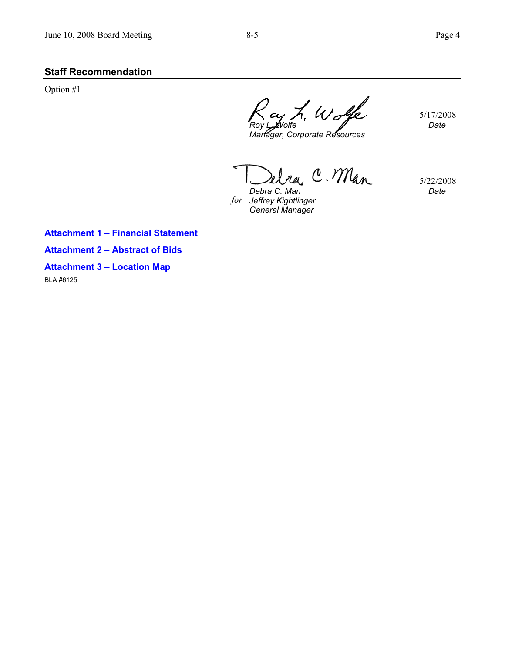## **Staff Recommendation**

Option #1

5/17/2008 *Roy L. Wolfe Date* 

*Manager, Corporate Resources* 

C. Man 5/22/2008

*for Jeffrey Kightlinger Debra C. Man General Manager* 

*Date* 

**Attachment 1 – Financial Statement Attachment 2 – Abstract of Bids** 

**Attachment 3 – Location Map** 

BLA #6125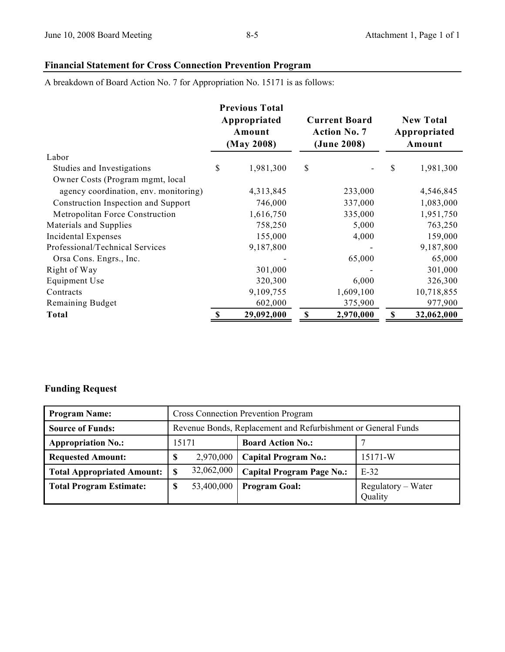## **Financial Statement for Cross Connection Prevention Program**

A breakdown of Board Action No. 7 for Appropriation No. 15171 is as follows:

|                                       | <b>Previous Total</b><br>Appropriated<br>Amount<br>(May 2008) |            | <b>Current Board</b><br><b>Action No. 7</b><br>(June 2008) |           | <b>New Total</b><br>Appropriated<br>Amount |            |
|---------------------------------------|---------------------------------------------------------------|------------|------------------------------------------------------------|-----------|--------------------------------------------|------------|
| Labor                                 |                                                               |            |                                                            |           |                                            |            |
| Studies and Investigations            | \$                                                            | 1,981,300  | \$                                                         |           | \$                                         | 1,981,300  |
| Owner Costs (Program mgmt, local      |                                                               |            |                                                            |           |                                            |            |
| agency coordination, env. monitoring) |                                                               | 4,313,845  |                                                            | 233,000   |                                            | 4,546,845  |
| Construction Inspection and Support   |                                                               | 746,000    |                                                            | 337,000   |                                            | 1,083,000  |
| Metropolitan Force Construction       |                                                               | 1,616,750  |                                                            | 335,000   |                                            | 1,951,750  |
| Materials and Supplies                |                                                               | 758,250    |                                                            | 5,000     |                                            | 763,250    |
| Incidental Expenses                   |                                                               | 155,000    |                                                            | 4,000     |                                            | 159,000    |
| Professional/Technical Services       |                                                               | 9,187,800  |                                                            |           |                                            | 9,187,800  |
| Orsa Cons. Engrs., Inc.               |                                                               |            |                                                            | 65,000    |                                            | 65,000     |
| Right of Way                          |                                                               | 301,000    |                                                            |           |                                            | 301,000    |
| Equipment Use                         |                                                               | 320,300    |                                                            | 6,000     |                                            | 326,300    |
| Contracts                             |                                                               | 9,109,755  |                                                            | 1,609,100 |                                            | 10,718,855 |
| Remaining Budget                      |                                                               | 602,000    |                                                            | 375,900   |                                            | 977,900    |
| <b>Total</b>                          | $\boldsymbol{\mathsf{S}}$                                     | 29,092,000 | \$                                                         | 2,970,000 | $\mathbb S$                                | 32,062,000 |

## **Funding Request**

| <b>Program Name:</b>              | <b>Cross Connection Prevention Program</b>                    |                                  |                               |  |  |  |
|-----------------------------------|---------------------------------------------------------------|----------------------------------|-------------------------------|--|--|--|
| <b>Source of Funds:</b>           | Revenue Bonds, Replacement and Refurbishment or General Funds |                                  |                               |  |  |  |
| <b>Appropriation No.:</b>         | 15171                                                         | <b>Board Action No.:</b>         |                               |  |  |  |
| <b>Requested Amount:</b>          | 2,970,000<br>œ<br>D                                           | <b>Capital Program No.:</b>      | 15171-W                       |  |  |  |
| <b>Total Appropriated Amount:</b> | 32,062,000                                                    | <b>Capital Program Page No.:</b> | $E-32$                        |  |  |  |
| <b>Total Program Estimate:</b>    | 53,400,000<br>S                                               | <b>Program Goal:</b>             | Regulatory – Water<br>Quality |  |  |  |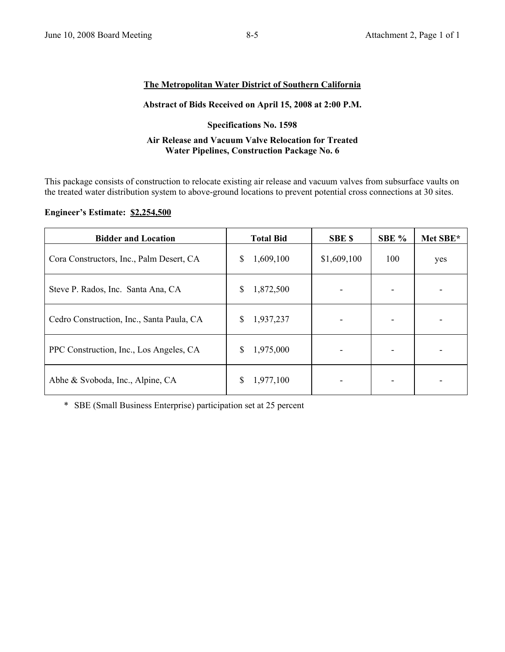#### **The Metropolitan Water District of Southern California**

#### **Abstract of Bids Received on April 15, 2008 at 2:00 P.M.**

#### **Specifications No. 1598**

#### **Air Release and Vacuum Valve Relocation for Treated Water Pipelines, Construction Package No. 6**

This package consists of construction to relocate existing air release and vacuum valves from subsurface vaults on the treated water distribution system to above-ground locations to prevent potential cross connections at 30 sites.

#### **Engineer's Estimate: \$2,254,500**

| <b>Bidder and Location</b>                | <b>Total Bid</b> | <b>SBE \$</b> | SBE % | Met SBE* |
|-------------------------------------------|------------------|---------------|-------|----------|
| Cora Constructors, Inc., Palm Desert, CA  | 1,609,100<br>S   | \$1,609,100   | 100   | yes      |
| Steve P. Rados, Inc. Santa Ana, CA        | 1,872,500<br>\$  |               |       |          |
| Cedro Construction, Inc., Santa Paula, CA | 1,937,237<br>\$  |               |       |          |
| PPC Construction, Inc., Los Angeles, CA   | 1,975,000<br>S   |               |       |          |
| Abhe & Svoboda, Inc., Alpine, CA          | 1,977,100<br>S   |               |       |          |

\* SBE (Small Business Enterprise) participation set at 25 percent